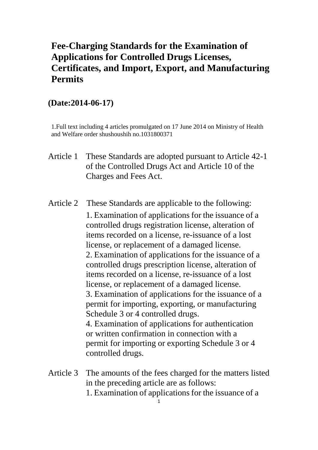## **Fee-Charging Standards for the Examination of Applications for Controlled Drugs Licenses, Certificates, and Import, Export, and Manufacturing Permits**

## **(Date:2014-06-17)**

1.Full text including 4 articles promulgated on 17 June 2014 on Ministry of Health and Welfare order shushoushih no.1031800371

- Article 1 These Standards are adopted pursuant to Article 42-1 of the Controlled Drugs Act and Article 10 of the Charges and Fees Act.
- Article 2 These Standards are applicable to the following: 1. Examination of applications for the issuance of a controlled drugs registration license, alteration of items recorded on a license, re-issuance of a lost license, or replacement of a damaged license. 2. Examination of applications for the issuance of a controlled drugs prescription license, alteration of items recorded on a license, re-issuance of a lost license, or replacement of a damaged license. 3. Examination of applications for the issuance of a permit for importing, exporting, or manufacturing Schedule 3 or 4 controlled drugs. 4. Examination of applications for authentication or written confirmation in connection with a permit for importing or exporting Schedule 3 or 4 controlled drugs.
- Article 3 The amounts of the fees charged for the matters listed in the preceding article are as follows: 1. Examination of applications for the issuance of a